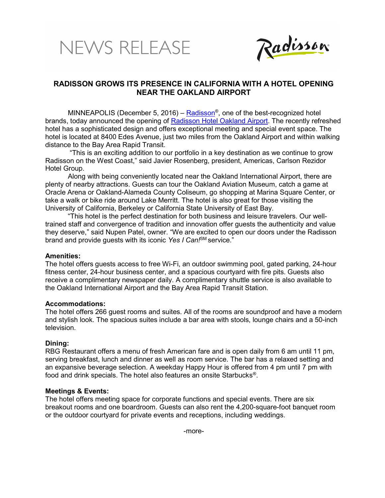# NEWS RELEASE



# RADISSON GROWS ITS PRESENCE IN CALIFORNIA WITH A HOTEL OPENING NEAR THE OAKLAND AIRPORT

MINNEAPOLIS (December 5, 2016) – <mark>Radisson</mark>®, one of the best-recognized hotel brands, today announced the opening of Radisson Hotel Oakland Airport. The recently refreshed hotel has a sophisticated design and offers exceptional meeting and special event space. The hotel is located at 8400 Edes Avenue, just two miles from the Oakland Airport and within walking distance to the Bay Area Rapid Transit.

 "This is an exciting addition to our portfolio in a key destination as we continue to grow Radisson on the West Coast," said Javier Rosenberg, president, Americas, Carlson Rezidor Hotel Group.

Along with being conveniently located near the Oakland International Airport, there are plenty of nearby attractions. Guests can tour the Oakland Aviation Museum, catch a game at Oracle Arena or Oakland-Alameda County Coliseum, go shopping at Marina Square Center, or take a walk or bike ride around Lake Merritt. The hotel is also great for those visiting the University of California, Berkeley or California State University of East Bay.

"This hotel is the perfect destination for both business and leisure travelers. Our welltrained staff and convergence of tradition and innovation offer guests the authenticity and value they deserve," said Nupen Patel, owner. "We are excited to open our doors under the Radisson brand and provide quests with its iconic Yes I Can!<sup>SM</sup> service."

### Amenities:

The hotel offers guests access to free Wi-Fi, an outdoor swimming pool, gated parking, 24-hour fitness center, 24-hour business center, and a spacious courtyard with fire pits. Guests also receive a complimentary newspaper daily. A complimentary shuttle service is also available to the Oakland International Airport and the Bay Area Rapid Transit Station.

### Accommodations:

The hotel offers 266 guest rooms and suites. All of the rooms are soundproof and have a modern and stylish look. The spacious suites include a bar area with stools, lounge chairs and a 50-inch television.

## Dining:

RBG Restaurant offers a menu of fresh American fare and is open daily from 6 am until 11 pm, serving breakfast, lunch and dinner as well as room service. The bar has a relaxed setting and an expansive beverage selection. A weekday Happy Hour is offered from 4 pm until 7 pm with food and drink specials. The hotel also features an onsite Starbucks®.

## Meetings & Events:

The hotel offers meeting space for corporate functions and special events. There are six breakout rooms and one boardroom. Guests can also rent the 4,200-square-foot banquet room or the outdoor courtyard for private events and receptions, including weddings.